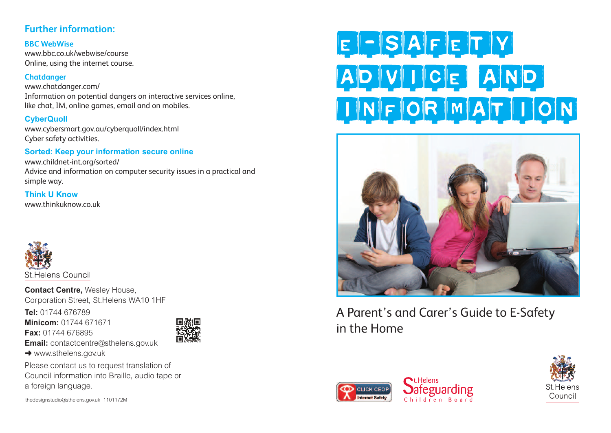## **Further information:**

**BBC WebWise** www.bbc.co.uk/webwise/course Online, using the internet course.

## **Chatdanger**

www.chatdanger.com/ Information on potential dangers on interactive services online, like chat, IM, online games, email and on mobiles.

## **CyberQuoll**

www.cybersmart.gov.au/cyberquoll/index.html Cyber safety activities.

## **Sorted: Keep your information secure online**

www.childnet-int.org/sorted/ Advice and information on computer security issues in a practical and simple way.

**Think U Know** www.thinkuknow.co.uk



**Contact Centre,** Wesley House, Corporation Street, St.Helens WA10 1HF **Tel:** 01744 676789 **Minicom:** 01744 671671 **Fax:** 01744 676895 **Email:** contactcentre@sthelens.gov.uk  $\rightarrow$  www.sthelens.gov.uk

Please contact us to request translation of Council information into Braille, audio tape or a foreign language.

thedesignstudio@sthelens.gov.uk 1101172M





A Parent's and Carer's Guide to E-Safety in the Home